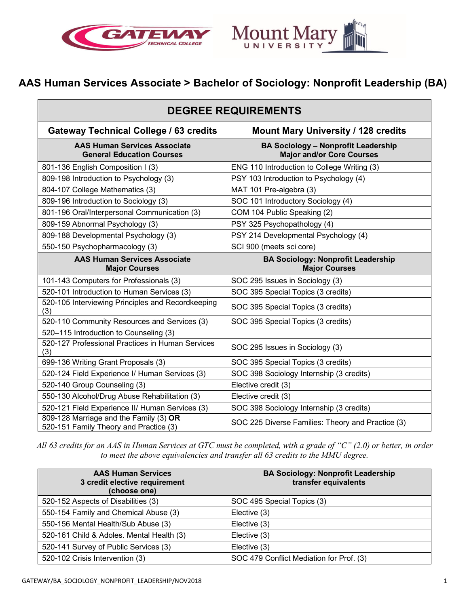



# **AAS Human Services Associate > Bachelor of Sociology: Nonprofit Leadership (BA)**

| <b>DEGREE REQUIREMENTS</b>                                                       |                                                                                |  |
|----------------------------------------------------------------------------------|--------------------------------------------------------------------------------|--|
| <b>Gateway Technical College / 63 credits</b>                                    | Mount Mary University / 128 credits                                            |  |
| <b>AAS Human Services Associate</b><br><b>General Education Courses</b>          | <b>BA Sociology - Nonprofit Leadership</b><br><b>Major and/or Core Courses</b> |  |
| 801-136 English Composition I (3)                                                | ENG 110 Introduction to College Writing (3)                                    |  |
| 809-198 Introduction to Psychology (3)                                           | PSY 103 Introduction to Psychology (4)                                         |  |
| 804-107 College Mathematics (3)                                                  | MAT 101 Pre-algebra (3)                                                        |  |
| 809-196 Introduction to Sociology (3)                                            | SOC 101 Introductory Sociology (4)                                             |  |
| 801-196 Oral/Interpersonal Communication (3)                                     | COM 104 Public Speaking (2)                                                    |  |
| 809-159 Abnormal Psychology (3)                                                  | PSY 325 Psychopathology (4)                                                    |  |
| 809-188 Developmental Psychology (3)                                             | PSY 214 Developmental Psychology (4)                                           |  |
| 550-150 Psychopharmacology (3)                                                   | SCI 900 (meets sci core)                                                       |  |
| <b>AAS Human Services Associate</b><br><b>Major Courses</b>                      | <b>BA Sociology: Nonprofit Leadership</b><br><b>Major Courses</b>              |  |
| 101-143 Computers for Professionals (3)                                          | SOC 295 Issues in Sociology (3)                                                |  |
| 520-101 Introduction to Human Services (3)                                       | SOC 395 Special Topics (3 credits)                                             |  |
| 520-105 Interviewing Principles and Recordkeeping<br>(3)                         | SOC 395 Special Topics (3 credits)                                             |  |
| 520-110 Community Resources and Services (3)                                     | SOC 395 Special Topics (3 credits)                                             |  |
| 520-115 Introduction to Counseling (3)                                           |                                                                                |  |
| 520-127 Professional Practices in Human Services<br>(3)                          | SOC 295 Issues in Sociology (3)                                                |  |
| 699-136 Writing Grant Proposals (3)                                              | SOC 395 Special Topics (3 credits)                                             |  |
| 520-124 Field Experience I/ Human Services (3)                                   | SOC 398 Sociology Internship (3 credits)                                       |  |
| 520-140 Group Counseling (3)                                                     | Elective credit (3)                                                            |  |
| 550-130 Alcohol/Drug Abuse Rehabilitation (3)                                    | Elective credit (3)                                                            |  |
| 520-121 Field Experience II/ Human Services (3)                                  | SOC 398 Sociology Internship (3 credits)                                       |  |
| 809-128 Marriage and the Family (3) OR<br>520-151 Family Theory and Practice (3) | SOC 225 Diverse Families: Theory and Practice (3)                              |  |

*All 63 credits for an AAS in Human Services at GTC must be completed, with a grade of "C" (2.0) or better, in order to meet the above equivalencies and transfer all 63 credits to the MMU degree.*

| <b>AAS Human Services</b><br>3 credit elective requirement<br>(choose one) | <b>BA Sociology: Nonprofit Leadership</b><br>transfer equivalents |
|----------------------------------------------------------------------------|-------------------------------------------------------------------|
| 520-152 Aspects of Disabilities (3)                                        | SOC 495 Special Topics (3)                                        |
| 550-154 Family and Chemical Abuse (3)                                      | Elective (3)                                                      |
| 550-156 Mental Health/Sub Abuse (3)                                        | Elective (3)                                                      |
| 520-161 Child & Adoles. Mental Health (3)                                  | Elective (3)                                                      |
| 520-141 Survey of Public Services (3)                                      | Elective (3)                                                      |
| 520-102 Crisis Intervention (3)                                            | SOC 479 Conflict Mediation for Prof. (3)                          |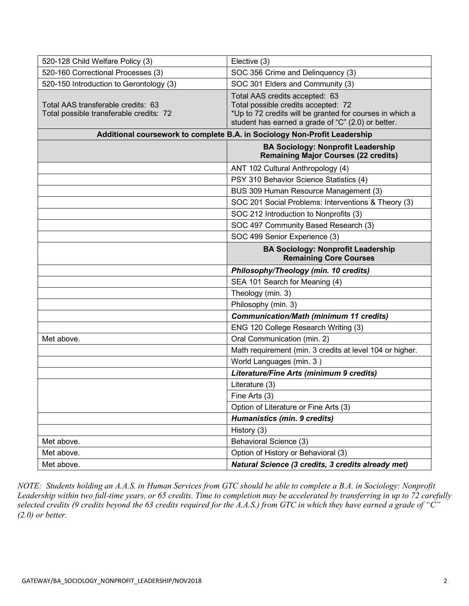| 520-128 Child Welfare Policy (3)                                              | Elective (3)                                                                                                                                                                            |
|-------------------------------------------------------------------------------|-----------------------------------------------------------------------------------------------------------------------------------------------------------------------------------------|
| 520-160 Correctional Processes (3)                                            | SOC 356 Crime and Delinquency (3)                                                                                                                                                       |
| 520-150 Introduction to Gerontology (3)                                       | SOC 301 Elders and Community (3)                                                                                                                                                        |
| Total AAS transferable credits: 63<br>Total possible transferable credits: 72 | Total AAS credits accepted: 63<br>Total possible credits accepted: 72<br>*Up to 72 credits will be granted for courses in which a<br>student has earned a grade of "C" (2.0) or better. |
|                                                                               | Additional coursework to complete B.A. in Sociology Non-Profit Leadership                                                                                                               |
|                                                                               | <b>BA Sociology: Nonprofit Leadership</b><br><b>Remaining Major Courses (22 credits)</b>                                                                                                |
|                                                                               | ANT 102 Cultural Anthropology (4)                                                                                                                                                       |
|                                                                               | PSY 310 Behavior Science Statistics (4)                                                                                                                                                 |
|                                                                               | BUS 309 Human Resource Management (3)                                                                                                                                                   |
|                                                                               | SOC 201 Social Problems: Interventions & Theory (3)                                                                                                                                     |
|                                                                               | SOC 212 Introduction to Nonprofits (3)                                                                                                                                                  |
|                                                                               | SOC 497 Community Based Research (3)                                                                                                                                                    |
|                                                                               | SOC 499 Senior Experience (3)                                                                                                                                                           |
|                                                                               | <b>BA Sociology: Nonprofit Leadership</b><br><b>Remaining Core Courses</b>                                                                                                              |
|                                                                               |                                                                                                                                                                                         |
|                                                                               | Philosophy/Theology (min. 10 credits)                                                                                                                                                   |
|                                                                               | SEA 101 Search for Meaning (4)                                                                                                                                                          |
|                                                                               | Theology (min. 3)                                                                                                                                                                       |
|                                                                               | Philosophy (min. 3)                                                                                                                                                                     |
|                                                                               | <b>Communication/Math (minimum 11 credits)</b>                                                                                                                                          |
|                                                                               | ENG 120 College Research Writing (3)                                                                                                                                                    |
| Met above.                                                                    | Oral Communication (min. 2)                                                                                                                                                             |
|                                                                               | Math requirement (min. 3 credits at level 104 or higher.                                                                                                                                |
|                                                                               | World Languages (min. 3)                                                                                                                                                                |
|                                                                               | Literature/Fine Arts (minimum 9 credits)                                                                                                                                                |
|                                                                               | Literature (3)                                                                                                                                                                          |
|                                                                               | Fine Arts (3)                                                                                                                                                                           |
|                                                                               | Option of Literature or Fine Arts (3)                                                                                                                                                   |
|                                                                               | Humanistics (min. 9 credits)                                                                                                                                                            |
|                                                                               | History (3)                                                                                                                                                                             |
| Met above.                                                                    | Behavioral Science (3)                                                                                                                                                                  |
| Met above.                                                                    | Option of History or Behavioral (3)                                                                                                                                                     |

*NOTE: Students holding an A.A.S. in Human Services from GTC should be able to complete a B.A. in Sociology: Nonprofit Leadership within two full-time years, or 65 credits. Time to completion may be accelerated by transferring in up to 72 carefully selected credits (9 credits beyond the 63 credits required for the A.A.S.) from GTC in which they have earned a grade of "C" (2.0) or better.*